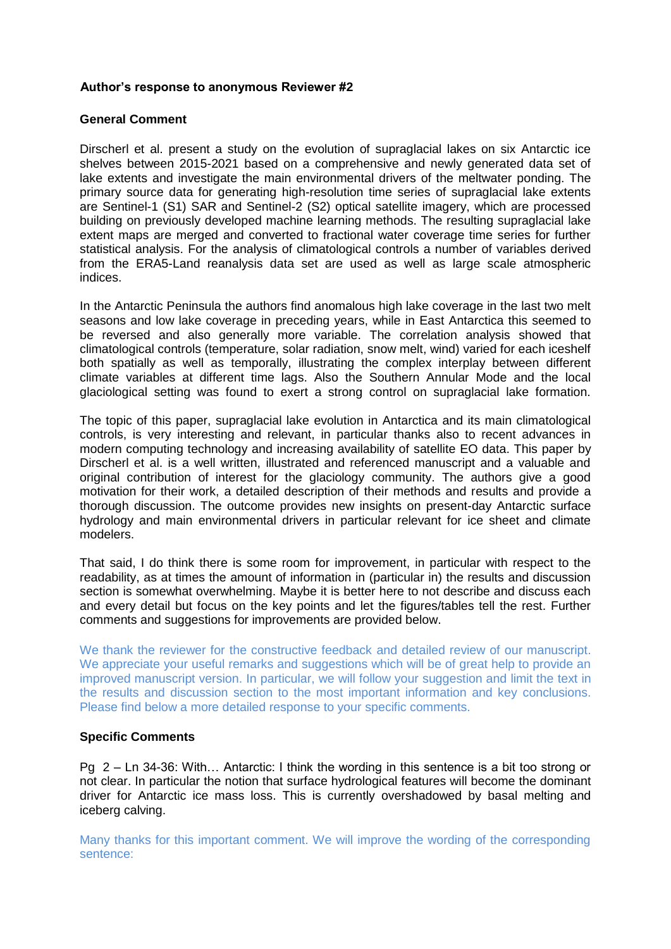# **Author's response to anonymous Reviewer #2**

### **General Comment**

Dirscherl et al. present a study on the evolution of supraglacial lakes on six Antarctic ice shelves between 2015-2021 based on a comprehensive and newly generated data set of lake extents and investigate the main environmental drivers of the meltwater ponding. The primary source data for generating high-resolution time series of supraglacial lake extents are Sentinel-1 (S1) SAR and Sentinel-2 (S2) optical satellite imagery, which are processed building on previously developed machine learning methods. The resulting supraglacial lake extent maps are merged and converted to fractional water coverage time series for further statistical analysis. For the analysis of climatological controls a number of variables derived from the ERA5-Land reanalysis data set are used as well as large scale atmospheric indices.

In the Antarctic Peninsula the authors find anomalous high lake coverage in the last two melt seasons and low lake coverage in preceding years, while in East Antarctica this seemed to be reversed and also generally more variable. The correlation analysis showed that climatological controls (temperature, solar radiation, snow melt, wind) varied for each iceshelf both spatially as well as temporally, illustrating the complex interplay between different climate variables at different time lags. Also the Southern Annular Mode and the local glaciological setting was found to exert a strong control on supraglacial lake formation.

The topic of this paper, supraglacial lake evolution in Antarctica and its main climatological controls, is very interesting and relevant, in particular thanks also to recent advances in modern computing technology and increasing availability of satellite EO data. This paper by Dirscherl et al. is a well written, illustrated and referenced manuscript and a valuable and original contribution of interest for the glaciology community. The authors give a good motivation for their work, a detailed description of their methods and results and provide a thorough discussion. The outcome provides new insights on present-day Antarctic surface hydrology and main environmental drivers in particular relevant for ice sheet and climate modelers.

That said, I do think there is some room for improvement, in particular with respect to the readability, as at times the amount of information in (particular in) the results and discussion section is somewhat overwhelming. Maybe it is better here to not describe and discuss each and every detail but focus on the key points and let the figures/tables tell the rest. Further comments and suggestions for improvements are provided below.

We thank the reviewer for the constructive feedback and detailed review of our manuscript. We appreciate your useful remarks and suggestions which will be of great help to provide an improved manuscript version. In particular, we will follow your suggestion and limit the text in the results and discussion section to the most important information and key conclusions. Please find below a more detailed response to your specific comments.

# **Specific Comments**

Pg 2 – Ln 34-36: With… Antarctic: I think the wording in this sentence is a bit too strong or not clear. In particular the notion that surface hydrological features will become the dominant driver for Antarctic ice mass loss. This is currently overshadowed by basal melting and iceberg calving.

Many thanks for this important comment. We will improve the wording of the corresponding sentence: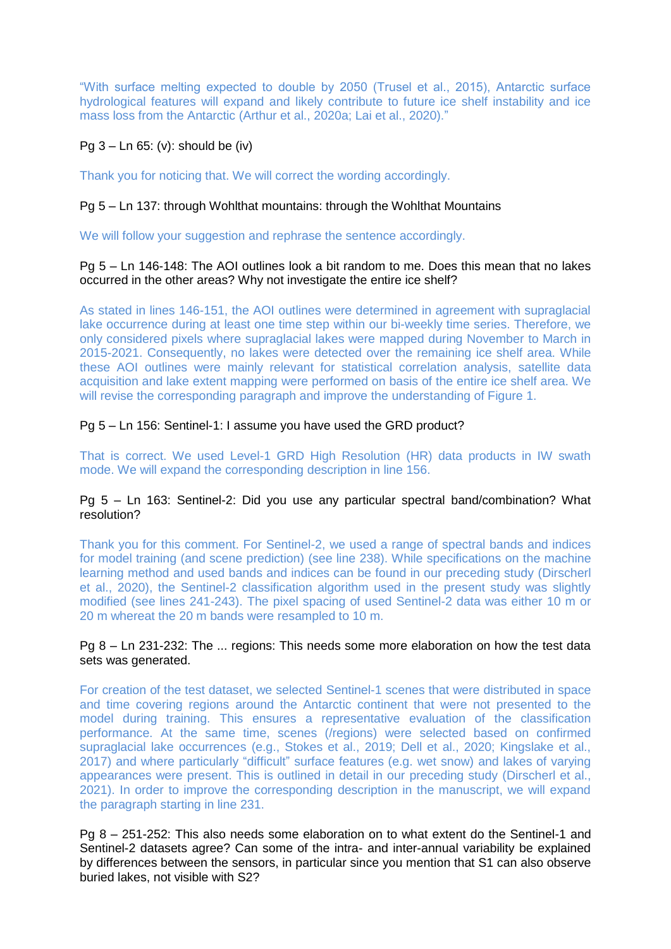"With surface melting expected to double by 2050 (Trusel et al., 2015), Antarctic surface hydrological features will expand and likely contribute to future ice shelf instability and ice mass loss from the Antarctic (Arthur et al., 2020a; Lai et al., 2020)."

# Pg  $3 -$  Ln  $65$ : (v): should be (iv)

Thank you for noticing that. We will correct the wording accordingly.

## Pg 5 – Ln 137: through Wohlthat mountains: through the Wohlthat Mountains

We will follow your suggestion and rephrase the sentence accordingly.

## Pg 5 – Ln 146-148: The AOI outlines look a bit random to me. Does this mean that no lakes occurred in the other areas? Why not investigate the entire ice shelf?

As stated in lines 146-151, the AOI outlines were determined in agreement with supraglacial lake occurrence during at least one time step within our bi-weekly time series. Therefore, we only considered pixels where supraglacial lakes were mapped during November to March in 2015-2021. Consequently, no lakes were detected over the remaining ice shelf area. While these AOI outlines were mainly relevant for statistical correlation analysis, satellite data acquisition and lake extent mapping were performed on basis of the entire ice shelf area. We will revise the corresponding paragraph and improve the understanding of Figure 1.

# Pg 5 – Ln 156: Sentinel-1: I assume you have used the GRD product?

That is correct. We used Level-1 GRD High Resolution (HR) data products in IW swath mode. We will expand the corresponding description in line 156.

## Pg 5 – Ln 163: Sentinel-2: Did you use any particular spectral band/combination? What resolution?

Thank you for this comment. For Sentinel-2, we used a range of spectral bands and indices for model training (and scene prediction) (see line 238). While specifications on the machine learning method and used bands and indices can be found in our preceding study (Dirscherl et al., 2020), the Sentinel-2 classification algorithm used in the present study was slightly modified (see lines 241-243). The pixel spacing of used Sentinel-2 data was either 10 m or 20 m whereat the 20 m bands were resampled to 10 m.

#### Pg 8 – Ln 231-232: The ... regions: This needs some more elaboration on how the test data sets was generated.

For creation of the test dataset, we selected Sentinel-1 scenes that were distributed in space and time covering regions around the Antarctic continent that were not presented to the model during training. This ensures a representative evaluation of the classification performance. At the same time, scenes (/regions) were selected based on confirmed supraglacial lake occurrences (e.g., Stokes et al., 2019; Dell et al., 2020; Kingslake et al., 2017) and where particularly "difficult" surface features (e.g. wet snow) and lakes of varying appearances were present. This is outlined in detail in our preceding study (Dirscherl et al., 2021). In order to improve the corresponding description in the manuscript, we will expand the paragraph starting in line 231.

Pg 8 – 251-252: This also needs some elaboration on to what extent do the Sentinel-1 and Sentinel-2 datasets agree? Can some of the intra- and inter-annual variability be explained by differences between the sensors, in particular since you mention that S1 can also observe buried lakes, not visible with S2?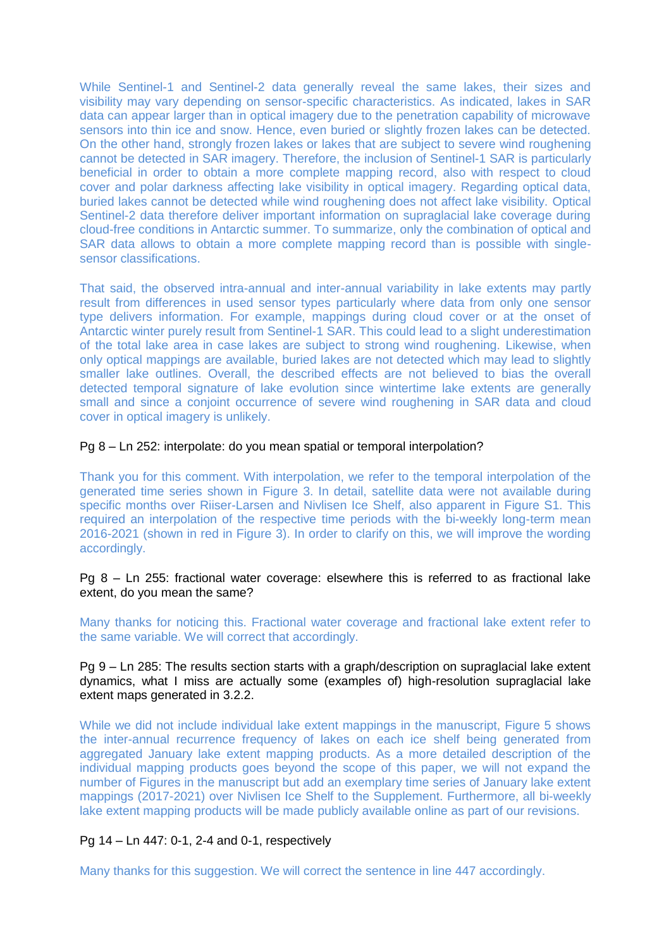While Sentinel-1 and Sentinel-2 data generally reveal the same lakes, their sizes and visibility may vary depending on sensor-specific characteristics. As indicated, lakes in SAR data can appear larger than in optical imagery due to the penetration capability of microwave sensors into thin ice and snow. Hence, even buried or slightly frozen lakes can be detected. On the other hand, strongly frozen lakes or lakes that are subject to severe wind roughening cannot be detected in SAR imagery. Therefore, the inclusion of Sentinel-1 SAR is particularly beneficial in order to obtain a more complete mapping record, also with respect to cloud cover and polar darkness affecting lake visibility in optical imagery. Regarding optical data, buried lakes cannot be detected while wind roughening does not affect lake visibility. Optical Sentinel-2 data therefore deliver important information on supraglacial lake coverage during cloud-free conditions in Antarctic summer. To summarize, only the combination of optical and SAR data allows to obtain a more complete mapping record than is possible with singlesensor classifications.

That said, the observed intra-annual and inter-annual variability in lake extents may partly result from differences in used sensor types particularly where data from only one sensor type delivers information. For example, mappings during cloud cover or at the onset of Antarctic winter purely result from Sentinel-1 SAR. This could lead to a slight underestimation of the total lake area in case lakes are subject to strong wind roughening. Likewise, when only optical mappings are available, buried lakes are not detected which may lead to slightly smaller lake outlines. Overall, the described effects are not believed to bias the overall detected temporal signature of lake evolution since wintertime lake extents are generally small and since a conjoint occurrence of severe wind roughening in SAR data and cloud cover in optical imagery is unlikely.

## Pg 8 – Ln 252: interpolate: do you mean spatial or temporal interpolation?

Thank you for this comment. With interpolation, we refer to the temporal interpolation of the generated time series shown in Figure 3. In detail, satellite data were not available during specific months over Riiser-Larsen and Nivlisen Ice Shelf, also apparent in Figure S1. This required an interpolation of the respective time periods with the bi-weekly long-term mean 2016-2021 (shown in red in Figure 3). In order to clarify on this, we will improve the wording accordingly.

Pg 8 – Ln 255: fractional water coverage: elsewhere this is referred to as fractional lake extent, do you mean the same?

Many thanks for noticing this. Fractional water coverage and fractional lake extent refer to the same variable. We will correct that accordingly.

#### Pg 9 – Ln 285: The results section starts with a graph/description on supraglacial lake extent dynamics, what I miss are actually some (examples of) high-resolution supraglacial lake extent maps generated in 3.2.2.

While we did not include individual lake extent mappings in the manuscript. Figure 5 shows the inter-annual recurrence frequency of lakes on each ice shelf being generated from aggregated January lake extent mapping products. As a more detailed description of the individual mapping products goes beyond the scope of this paper, we will not expand the number of Figures in the manuscript but add an exemplary time series of January lake extent mappings (2017-2021) over Nivlisen Ice Shelf to the Supplement. Furthermore, all bi-weekly lake extent mapping products will be made publicly available online as part of our revisions.

# Pg 14 – Ln 447: 0-1, 2-4 and 0-1, respectively

Many thanks for this suggestion. We will correct the sentence in line 447 accordingly.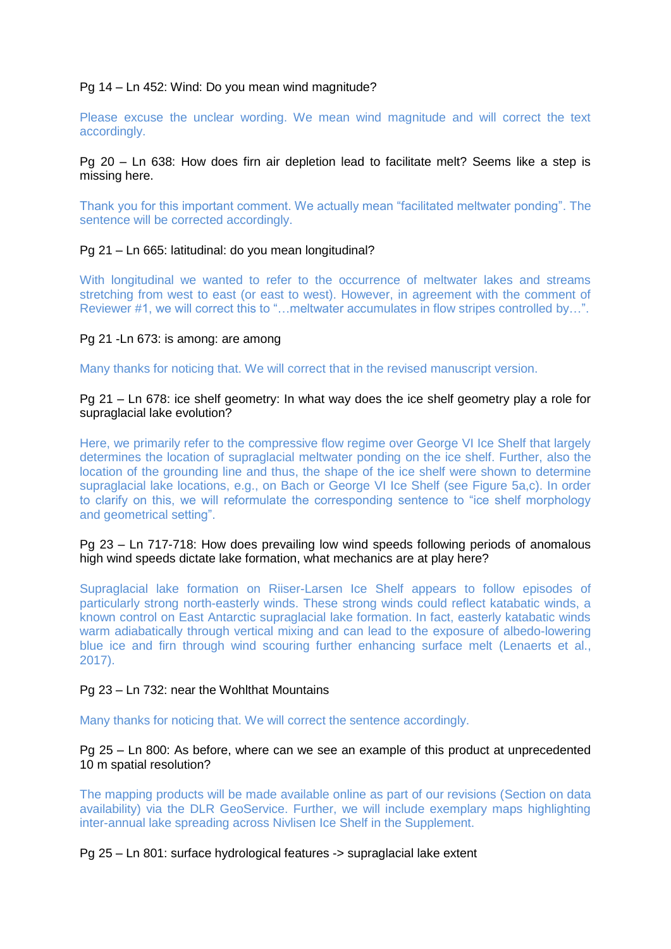### Pg 14 – Ln 452: Wind: Do you mean wind magnitude?

Please excuse the unclear wording. We mean wind magnitude and will correct the text accordingly.

Pg 20 – Ln 638: How does firn air depletion lead to facilitate melt? Seems like a step is missing here.

Thank you for this important comment. We actually mean "facilitated meltwater ponding". The sentence will be corrected accordingly.

## Pg 21 – Ln 665: latitudinal: do you mean longitudinal?

With longitudinal we wanted to refer to the occurrence of meltwater lakes and streams stretching from west to east (or east to west). However, in agreement with the comment of Reviewer #1, we will correct this to "…meltwater accumulates in flow stripes controlled by…".

## Pg 21 -Ln 673: is among: are among

Many thanks for noticing that. We will correct that in the revised manuscript version.

#### Pg 21 – Ln 678: ice shelf geometry: In what way does the ice shelf geometry play a role for supraglacial lake evolution?

Here, we primarily refer to the compressive flow regime over George VI Ice Shelf that largely determines the location of supraglacial meltwater ponding on the ice shelf. Further, also the location of the grounding line and thus, the shape of the ice shelf were shown to determine supraglacial lake locations, e.g., on Bach or George VI Ice Shelf (see Figure 5a,c). In order to clarify on this, we will reformulate the corresponding sentence to "ice shelf morphology and geometrical setting".

## Pg 23 – Ln 717-718: How does prevailing low wind speeds following periods of anomalous high wind speeds dictate lake formation, what mechanics are at play here?

Supraglacial lake formation on Riiser-Larsen Ice Shelf appears to follow episodes of particularly strong north-easterly winds. These strong winds could reflect katabatic winds, a known control on East Antarctic supraglacial lake formation. In fact, easterly katabatic winds warm adiabatically through vertical mixing and can lead to the exposure of albedo-lowering blue ice and firn through wind scouring further enhancing surface melt (Lenaerts et al., 2017).

#### Pg 23 – Ln 732: near the Wohlthat Mountains

Many thanks for noticing that. We will correct the sentence accordingly.

Pg 25 – Ln 800: As before, where can we see an example of this product at unprecedented 10 m spatial resolution?

The mapping products will be made available online as part of our revisions (Section on data availability) via the DLR GeoService. Further, we will include exemplary maps highlighting inter-annual lake spreading across Nivlisen Ice Shelf in the Supplement.

Pg 25 – Ln 801: surface hydrological features -> supraglacial lake extent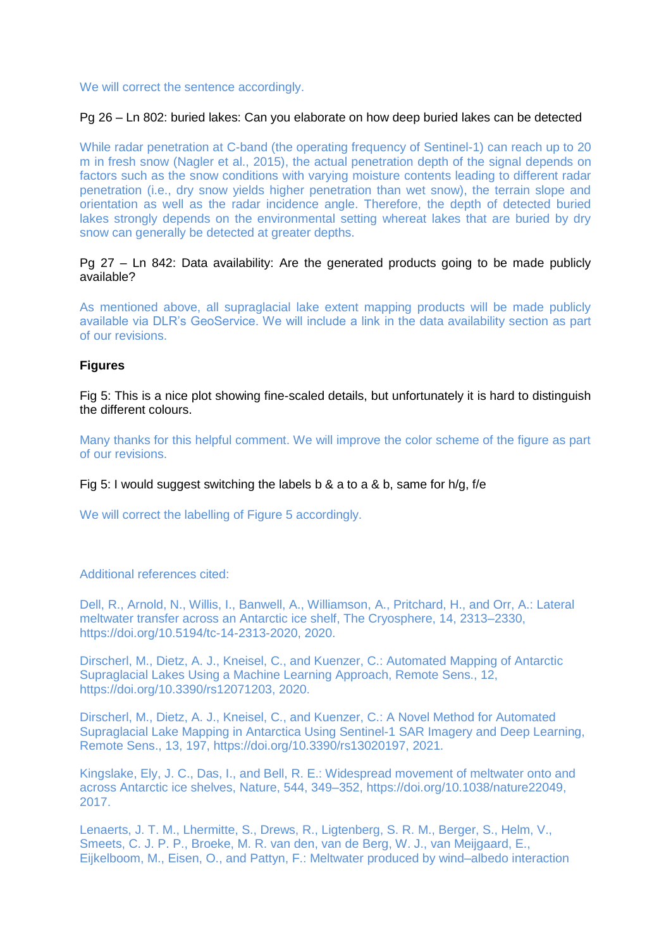We will correct the sentence accordingly.

# Pg 26 – Ln 802: buried lakes: Can you elaborate on how deep buried lakes can be detected

While radar penetration at C-band (the operating frequency of Sentinel-1) can reach up to 20 m in fresh snow (Nagler et al., 2015), the actual penetration depth of the signal depends on factors such as the snow conditions with varying moisture contents leading to different radar penetration (i.e., dry snow yields higher penetration than wet snow), the terrain slope and orientation as well as the radar incidence angle. Therefore, the depth of detected buried lakes strongly depends on the environmental setting whereat lakes that are buried by dry snow can generally be detected at greater depths.

# Pg 27 – Ln 842: Data availability: Are the generated products going to be made publicly available?

As mentioned above, all supraglacial lake extent mapping products will be made publicly available via DLR's GeoService. We will include a link in the data availability section as part of our revisions.

## **Figures**

Fig 5: This is a nice plot showing fine-scaled details, but unfortunately it is hard to distinguish the different colours.

Many thanks for this helpful comment. We will improve the color scheme of the figure as part of our revisions.

Fig 5: I would suggest switching the labels b & a to a & b, same for  $h/q$ , f/e

We will correct the labelling of Figure 5 accordingly.

# Additional references cited:

Dell, R., Arnold, N., Willis, I., Banwell, A., Williamson, A., Pritchard, H., and Orr, A.: Lateral meltwater transfer across an Antarctic ice shelf, The Cryosphere, 14, 2313–2330, https://doi.org/10.5194/tc-14-2313-2020, 2020.

Dirscherl, M., Dietz, A. J., Kneisel, C., and Kuenzer, C.: Automated Mapping of Antarctic Supraglacial Lakes Using a Machine Learning Approach, Remote Sens., 12, https://doi.org/10.3390/rs12071203, 2020.

Dirscherl, M., Dietz, A. J., Kneisel, C., and Kuenzer, C.: A Novel Method for Automated Supraglacial Lake Mapping in Antarctica Using Sentinel-1 SAR Imagery and Deep Learning, Remote Sens., 13, 197, https://doi.org/10.3390/rs13020197, 2021.

Kingslake, Ely, J. C., Das, I., and Bell, R. E.: Widespread movement of meltwater onto and across Antarctic ice shelves, Nature, 544, 349–352, https://doi.org/10.1038/nature22049, 2017.

Lenaerts, J. T. M., Lhermitte, S., Drews, R., Ligtenberg, S. R. M., Berger, S., Helm, V., Smeets, C. J. P. P., Broeke, M. R. van den, van de Berg, W. J., van Meijgaard, E., Eijkelboom, M., Eisen, O., and Pattyn, F.: Meltwater produced by wind–albedo interaction